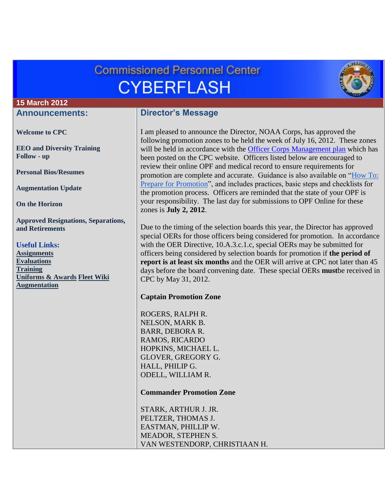# **Commissioned Personnel Center CYBERFLASH**



#### **15 March 2012**

### **Announcements:**

**[Welcome to CPC](#page-2-0)**

**[EEO and Diversity Training](#page-2-1)  [Follow -](#page-2-1) up**

**[Personal Bios/Resumes](#page-2-2)**

**[Augmentation Update](#page-2-3)**

**[On the Horizon](#page-3-0)**

**[Approved Resignations, Separations,](#page-3-1)  [and Retirements](#page-3-1)**

#### **Useful Links:**

**[Assignments](http://www.corpscpc.noaa.gov/careermgmt/assignments.html) [Evaluations](http://www.corpscpc.noaa.gov/careermgmt/evaluation.html) [Training](http://www.corpscpc.noaa.gov/careermgmt/training.html) [Uniforms & Awards](http://www.corpscpc.noaa.gov/perservices/awards.html) [Fleet Wiki](https://www.st.nmfs.noaa.gov/confluence/display/FleetWiki/Home) [Augmentation](http://www.corpscpc.noaa.gov/cpchome/augmentation.html)**

## **Director's Message**

I am pleased to announce the Director, NOAA Corps, has approved the following promotion zones to be held the week of July 16, 2012. These zones will be held in accordance with the [Officer Corps Management plan](http://www.corpscpc.noaa.gov/pdf/fy2012_officer_mgmt_plan.pdf) which has been posted on the CPC website. Officers listed below are encouraged to review their online OPF and medical record to ensure requirements for promotion are complete and accurate. Guidance is also available on ["How To:](http://www.corpscpc.noaa.gov/procedures/pdf/prepare_for_promotions.pdf)  [Prepare for Promotion"](http://www.corpscpc.noaa.gov/procedures/pdf/prepare_for_promotions.pdf), and includes practices, basic steps and checklists for the promotion process. Officers are reminded that the state of your OPF is your responsibility. The last day for submissions to OPF Online for these zones is **July 2, 2012**.

Due to the timing of the selection boards this year, the Director has approved special OERs for those officers being considered for promotion. In accordance with the OER Directive, 10.A.3.c.1.c, special OERs may be submitted for officers being considered by selection boards for promotion if **the period of report is at least six months** and the OER will arrive at CPC not later than 45 days before the board convening date. These special OERs **must**be received in CPC by May 31, 2012.

#### **Captain Promotion Zone**

ROGERS, RALPH R. NELSON, MARK B. BARR, DEBORA R. RAMOS, RICARDO HOPKINS, MICHAEL L. GLOVER, GREGORY G. HALL, PHILIP G. ODELL, WILLIAM R.

**Commander Promotion Zone**

STARK, ARTHUR J. JR. PELTZER, THOMAS J. EASTMAN, PHILLIP W. MEADOR, STEPHEN S. VAN WESTENDORP, CHRISTIAAN H.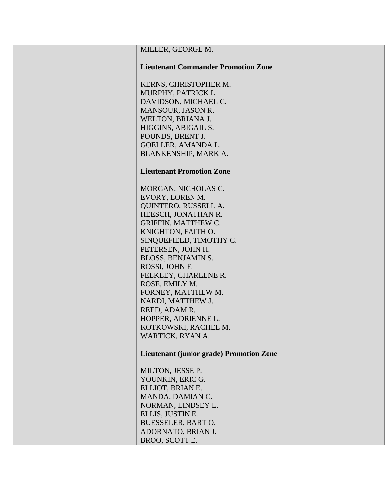| KERNS, CHRISTOPHER M.            |  |  |
|----------------------------------|--|--|
| MURPHY, PATRICK L.               |  |  |
| DAVIDSON, MICHAEL C.             |  |  |
| MANSOUR, JASON R.                |  |  |
| WELTON, BRIANA J.                |  |  |
| HIGGINS, ABIGAIL S.              |  |  |
| POUNDS, BRENT J.                 |  |  |
| <b>GOELLER, AMANDA L.</b>        |  |  |
| BLANKENSHIP, MARK A.             |  |  |
|                                  |  |  |
| <b>Lieutenant Promotion Zone</b> |  |  |
|                                  |  |  |
| MORGAN, NICHOLAS C.              |  |  |
| EVORY, LOREN M.                  |  |  |
| <b>QUINTERO, RUSSELL A.</b>      |  |  |
| HEESCH, JONATHAN R.              |  |  |
| GRIFFIN, MATTHEW C.              |  |  |
| KNIGHTON, FAITH O.               |  |  |
| SINQUEFIELD, TIMOTHY C.          |  |  |
| PETERSEN, JOHN H.                |  |  |
| <b>BLOSS, BENJAMIN S.</b>        |  |  |
| ROSSI, JOHN F.                   |  |  |
| FELKLEY, CHARLENE R.             |  |  |
| ROSE, EMILY M.                   |  |  |
| FORNEY, MATTHEW M.               |  |  |
| NARDI, MATTHEW J.                |  |  |
| REED, ADAM R.                    |  |  |
| HOPPER, ADRIENNE L.              |  |  |
|                                  |  |  |

MILLER, GEORGE M.

**Lieutenant Commander Promotion Zone**

KOTKOWSKI, RACHEL M. WARTICK, RYAN A.

**Lieutenant (junior grade) Promotion Zone**

MILTON, JESSE P. YOUNKIN, ERIC G. ELLIOT, BRIAN E. MANDA, DAMIAN C. NORMAN, LINDSEY L. ELLIS, JUSTIN E. BUESSELER, BART O. ADORNATO, BRIAN J. BROO, SCOTT E.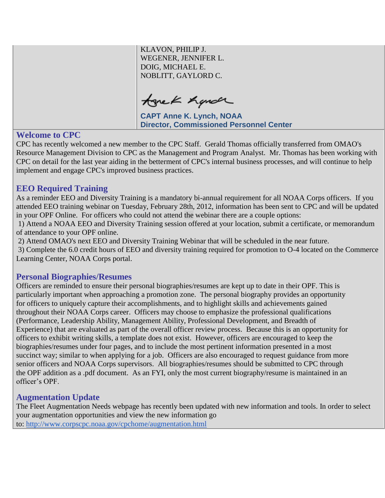KLAVON, PHILIP J. WEGENER, JENNIFER L. DOIG, MICHAEL E. NOBLITT, GAYLORD C.

tonek hande

**CAPT Anne K. Lynch, NOAA Director, Commissioned Personnel Center**

## <span id="page-2-0"></span>**Welcome to CPC**

CPC has recently welcomed a new member to the CPC Staff. Gerald Thomas officially transferred from OMAO's Resource Management Division to CPC as the Management and Program Analyst. Mr. Thomas has been working with CPC on detail for the last year aiding in the betterment of CPC's internal business processes, and will continue to help implement and engage CPC's improved business practices.

## <span id="page-2-1"></span>**EEO Required Training**

As a reminder EEO and Diversity Training is a mandatory bi-annual requirement for all NOAA Corps officers. If you attended EEO training webinar on Tuesday, February 28th, 2012, information has been sent to CPC and will be updated in your OPF Online. For officers who could not attend the webinar there are a couple options:

1) Attend a NOAA EEO and Diversity Training session offered at your location, submit a certificate, or memorandum of attendance to your OPF online.

2) Attend OMAO's next EEO and Diversity Training Webinar that will be scheduled in the near future.

3) Complete the 6.0 credit hours of EEO and diversity training required for promotion to O-4 located on the Commerce Learning Center, NOAA Corps portal.

## <span id="page-2-2"></span>**Personal Biographies/Resumes**

Officers are reminded to ensure their personal biographies/resumes are kept up to date in their OPF. This is particularly important when approaching a promotion zone. The personal biography provides an opportunity for officers to uniquely capture their accomplishments, and to highlight skills and achievements gained throughout their NOAA Corps career. Officers may choose to emphasize the professional qualifications (Performance, Leadership Ability, Management Ability, Professional Development, and Breadth of Experience) that are evaluated as part of the overall officer review process. Because this is an opportunity for officers to exhibit writing skills, a template does not exist. However, officers are encouraged to keep the biographies/resumes under four pages, and to include the most pertinent information presented in a most succinct way; similar to when applying for a job. Officers are also encouraged to request guidance from more senior officers and NOAA Corps supervisors. All biographies/resumes should be submitted to CPC through the OPF addition as a .pdf document. As an FYI, only the most current biography/resume is maintained in an officer's OPF.

## <span id="page-2-3"></span>**Augmentation Update**

The Fleet Augmentation Needs webpage has recently been updated with new information and tools. In order to select your augmentation opportunities and view the new information go to: <http://www.corpscpc.noaa.gov/cpchome/augmentation.html>